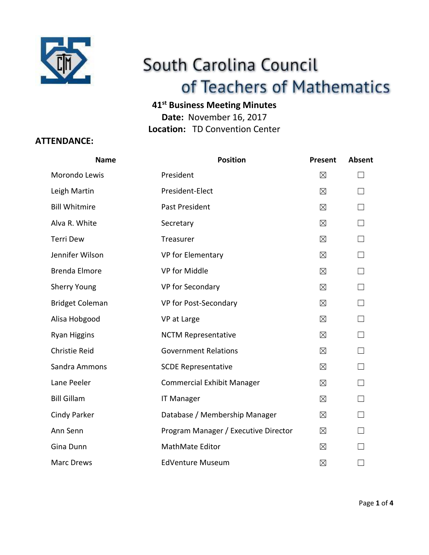

# South Carolina Council of Teachers of Mathematics

# **41st Business Meeting Minutes**

**Date:** November 16, 2017 **Location:** TD Convention Center

# **ATTENDANCE:**

| <b>Name</b>            | <b>Position</b>                      | <b>Present</b> | <b>Absent</b> |
|------------------------|--------------------------------------|----------------|---------------|
| Morondo Lewis          | President                            | $\boxtimes$    |               |
| Leigh Martin           | President-Elect                      | $\boxtimes$    |               |
| <b>Bill Whitmire</b>   | Past President                       | $\boxtimes$    |               |
| Alva R. White          | Secretary                            | $\boxtimes$    | $\Box$        |
| <b>Terri Dew</b>       | Treasurer                            | $\boxtimes$    | П             |
| Jennifer Wilson        | VP for Elementary                    | $\boxtimes$    |               |
| <b>Brenda Elmore</b>   | VP for Middle                        | $\boxtimes$    |               |
| <b>Sherry Young</b>    | VP for Secondary                     | $\boxtimes$    |               |
| <b>Bridget Coleman</b> | VP for Post-Secondary                | $\boxtimes$    |               |
| Alisa Hobgood          | VP at Large                          | $\boxtimes$    |               |
| <b>Ryan Higgins</b>    | <b>NCTM Representative</b>           | $\boxtimes$    | П             |
| <b>Christie Reid</b>   | <b>Government Relations</b>          | $\boxtimes$    |               |
| Sandra Ammons          | <b>SCDE Representative</b>           | $\boxtimes$    |               |
| Lane Peeler            | <b>Commercial Exhibit Manager</b>    | $\boxtimes$    | $\perp$       |
| <b>Bill Gillam</b>     | <b>IT Manager</b>                    | $\boxtimes$    | П             |
| <b>Cindy Parker</b>    | Database / Membership Manager        | $\boxtimes$    | $\Box$        |
| Ann Senn               | Program Manager / Executive Director | $\boxtimes$    |               |
| Gina Dunn              | MathMate Editor                      | $\boxtimes$    |               |
| <b>Marc Drews</b>      | <b>EdVenture Museum</b>              | $\boxtimes$    |               |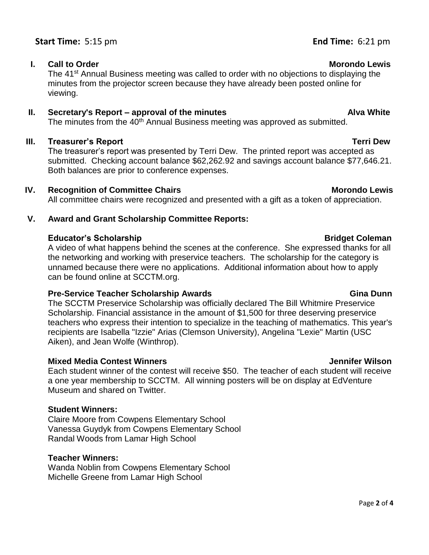# **Start Time:** 5:15 pm

### **I.** Call to Order Morondo Lewis and the Morondo Lewis and the Morondo Lewis and Morondo Lewis

The 41<sup>st</sup> Annual Business meeting was called to order with no objections to displaying the minutes from the projector screen because they have already been posted online for viewing.

### **II.** Secretary's Report – approval of the minutes Alva White

The minutes from the 40<sup>th</sup> Annual Business meeting was approved as submitted.

# **III. Treasurer's Report Terri Dew**

The treasurer's report was presented by Terri Dew. The printed report was accepted as submitted. Checking account balance \$62,262.92 and savings account balance \$77,646.21. Both balances are prior to conference expenses.

# **IV.** Recognition of Committee Chairs Morondo Lewis Morondo Lewis

All committee chairs were recognized and presented with a gift as a token of appreciation.

# **V. Award and Grant Scholarship Committee Reports:**

# **Educator's Scholarship Bridget Coleman**

A video of what happens behind the scenes at the conference. She expressed thanks for all the networking and working with preservice teachers. The scholarship for the category is unnamed because there were no applications. Additional information about how to apply can be found online at SCCTM.org.

# **Pre-Service Teacher Scholarship Awards Gina Dunn**

The SCCTM Preservice Scholarship was officially declared The Bill Whitmire Preservice Scholarship. Financial assistance in the amount of \$1,500 for three deserving preservice teachers who express their intention to specialize in the teaching of mathematics. This year's recipients are Isabella "Izzie" Arias (Clemson University), Angelina "Lexie" Martin (USC Aiken), and Jean Wolfe (Winthrop).

# **Mixed Media Contest Winners Jennifer Wilson**

Each student winner of the contest will receive \$50. The teacher of each student will receive a one year membership to SCCTM. All winning posters will be on display at EdVenture Museum and shared on Twitter.

# **Student Winners:**

Claire Moore from Cowpens Elementary School Vanessa Guydyk from Cowpens Elementary School Randal Woods from Lamar High School

# **Teacher Winners:**

Wanda Noblin from Cowpens Elementary School Michelle Greene from Lamar High School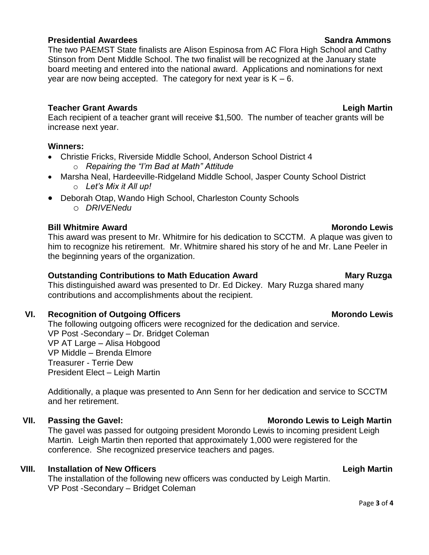### Page **3** of **4**

### **Presidential Awardees Sandra Ammons**

# The two PAEMST State finalists are Alison Espinosa from AC Flora High School and Cathy Stinson from Dent Middle School. The two finalist will be recognized at the January state board meeting and entered into the national award. Applications and nominations for next year are now being accepted. The category for next year is  $K - 6$ .

### **Teacher Grant Awards Leigh Martin**

Each recipient of a teacher grant will receive \$1,500. The number of teacher grants will be increase next year.

### **Winners:**

- Christie Fricks, Riverside Middle School, Anderson School District 4
	- o *Repairing the "I'm Bad at Math" Attitude*
- Marsha Neal, Hardeeville-Ridgeland Middle School, Jasper County School District o *Let's Mix it All up!*
- Deborah Otap, Wando High School, Charleston County Schools o *DRIVENedu*

### **Bill Whitmire Award Morondo Lewis Bill Whitmire Award**

This award was present to Mr. Whitmire for his dedication to SCCTM. A plaque was given to him to recognize his retirement. Mr. Whitmire shared his story of he and Mr. Lane Peeler in the beginning years of the organization.

### **Outstanding Contributions to Math Education Award Mary Ruzga**

This distinguished award was presented to Dr. Ed Dickey. Mary Ruzga shared many contributions and accomplishments about the recipient.

# VI. Recognition of Outgoing Officers **Morondo Lewis** Morondo Lewis

The following outgoing officers were recognized for the dedication and service. VP Post -Secondary – Dr. Bridget Coleman VP AT Large – Alisa Hobgood VP Middle – Brenda Elmore Treasurer - Terrie Dew President Elect – Leigh Martin

Additionally, a plaque was presented to Ann Senn for her dedication and service to SCCTM and her retirement.

The gavel was passed for outgoing president Morondo Lewis to incoming president Leigh Martin. Leigh Martin then reported that approximately 1,000 were registered for the conference. She recognized preservice teachers and pages.

### **VIII. Installation of New Officers Leigh Martin**

The installation of the following new officers was conducted by Leigh Martin. VP Post -Secondary – Bridget Coleman

### **VII. Passing the Gavel: Morondo Lewis to Leigh Martin**